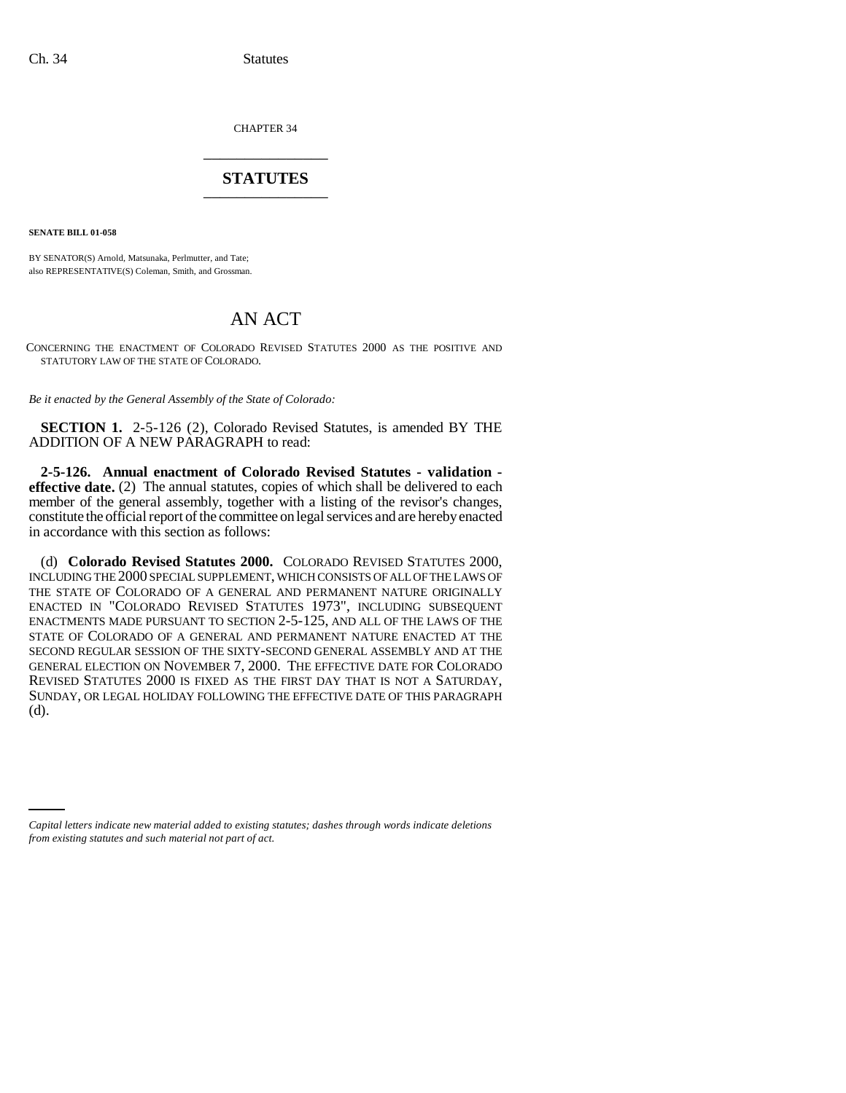CHAPTER 34 \_\_\_\_\_\_\_\_\_\_\_\_\_\_\_

## **STATUTES** \_\_\_\_\_\_\_\_\_\_\_\_\_\_\_

**SENATE BILL 01-058**

BY SENATOR(S) Arnold, Matsunaka, Perlmutter, and Tate; also REPRESENTATIVE(S) Coleman, Smith, and Grossman.

## AN ACT

CONCERNING THE ENACTMENT OF COLORADO REVISED STATUTES 2000 AS THE POSITIVE AND STATUTORY LAW OF THE STATE OF COLORADO.

*Be it enacted by the General Assembly of the State of Colorado:*

**SECTION 1.** 2-5-126 (2), Colorado Revised Statutes, is amended BY THE ADDITION OF A NEW PARAGRAPH to read:

**2-5-126. Annual enactment of Colorado Revised Statutes - validation effective date.** (2) The annual statutes, copies of which shall be delivered to each member of the general assembly, together with a listing of the revisor's changes, constitute the official report of the committee on legal services and are hereby enacted in accordance with this section as follows:

(d) **Colorado Revised Statutes 2000.** COLORADO REVISED STATUTES 2000, INCLUDING THE 2000 SPECIAL SUPPLEMENT, WHICH CONSISTS OF ALL OF THE LAWS OF THE STATE OF COLORADO OF A GENERAL AND PERMANENT NATURE ORIGINALLY ENACTED IN "COLORADO REVISED STATUTES 1973", INCLUDING SUBSEQUENT ENACTMENTS MADE PURSUANT TO SECTION 2-5-125, AND ALL OF THE LAWS OF THE STATE OF COLORADO OF A GENERAL AND PERMANENT NATURE ENACTED AT THE SECOND REGULAR SESSION OF THE SIXTY-SECOND GENERAL ASSEMBLY AND AT THE GENERAL ELECTION ON NOVEMBER 7, 2000. THE EFFECTIVE DATE FOR COLORADO REVISED STATUTES 2000 IS FIXED AS THE FIRST DAY THAT IS NOT A SATURDAY, SUNDAY, OR LEGAL HOLIDAY FOLLOWING THE EFFECTIVE DATE OF THIS PARAGRAPH (d).

*Capital letters indicate new material added to existing statutes; dashes through words indicate deletions from existing statutes and such material not part of act.*